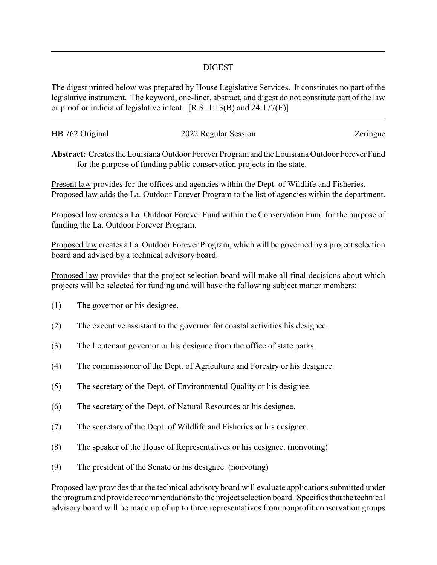## DIGEST

The digest printed below was prepared by House Legislative Services. It constitutes no part of the legislative instrument. The keyword, one-liner, abstract, and digest do not constitute part of the law or proof or indicia of legislative intent. [R.S. 1:13(B) and 24:177(E)]

| HB 762 Original | 2022 Regular Session | Zeringue |
|-----------------|----------------------|----------|
|                 |                      |          |

**Abstract:** Creates the Louisiana Outdoor Forever Program and the Louisiana Outdoor Forever Fund for the purpose of funding public conservation projects in the state.

Present law provides for the offices and agencies within the Dept. of Wildlife and Fisheries. Proposed law adds the La. Outdoor Forever Program to the list of agencies within the department.

Proposed law creates a La. Outdoor Forever Fund within the Conservation Fund for the purpose of funding the La. Outdoor Forever Program.

Proposed law creates a La. Outdoor Forever Program, which will be governed by a project selection board and advised by a technical advisory board.

Proposed law provides that the project selection board will make all final decisions about which projects will be selected for funding and will have the following subject matter members:

- (1) The governor or his designee.
- (2) The executive assistant to the governor for coastal activities his designee.
- (3) The lieutenant governor or his designee from the office of state parks.
- (4) The commissioner of the Dept. of Agriculture and Forestry or his designee.
- (5) The secretary of the Dept. of Environmental Quality or his designee.
- (6) The secretary of the Dept. of Natural Resources or his designee.
- (7) The secretary of the Dept. of Wildlife and Fisheries or his designee.
- (8) The speaker of the House of Representatives or his designee. (nonvoting)
- (9) The president of the Senate or his designee. (nonvoting)

Proposed law provides that the technical advisory board will evaluate applications submitted under the program and provide recommendations to the project selection board. Specifies that the technical advisory board will be made up of up to three representatives from nonprofit conservation groups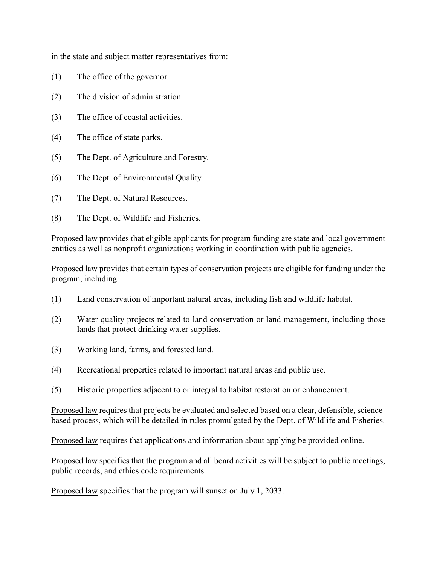in the state and subject matter representatives from:

- (1) The office of the governor.
- (2) The division of administration.
- (3) The office of coastal activities.
- (4) The office of state parks.
- (5) The Dept. of Agriculture and Forestry.
- (6) The Dept. of Environmental Quality.
- (7) The Dept. of Natural Resources.
- (8) The Dept. of Wildlife and Fisheries.

Proposed law provides that eligible applicants for program funding are state and local government entities as well as nonprofit organizations working in coordination with public agencies.

Proposed law provides that certain types of conservation projects are eligible for funding under the program, including:

- (1) Land conservation of important natural areas, including fish and wildlife habitat.
- (2) Water quality projects related to land conservation or land management, including those lands that protect drinking water supplies.
- (3) Working land, farms, and forested land.
- (4) Recreational properties related to important natural areas and public use.
- (5) Historic properties adjacent to or integral to habitat restoration or enhancement.

Proposed law requires that projects be evaluated and selected based on a clear, defensible, sciencebased process, which will be detailed in rules promulgated by the Dept. of Wildlife and Fisheries.

Proposed law requires that applications and information about applying be provided online.

Proposed law specifies that the program and all board activities will be subject to public meetings, public records, and ethics code requirements.

Proposed law specifies that the program will sunset on July 1, 2033.